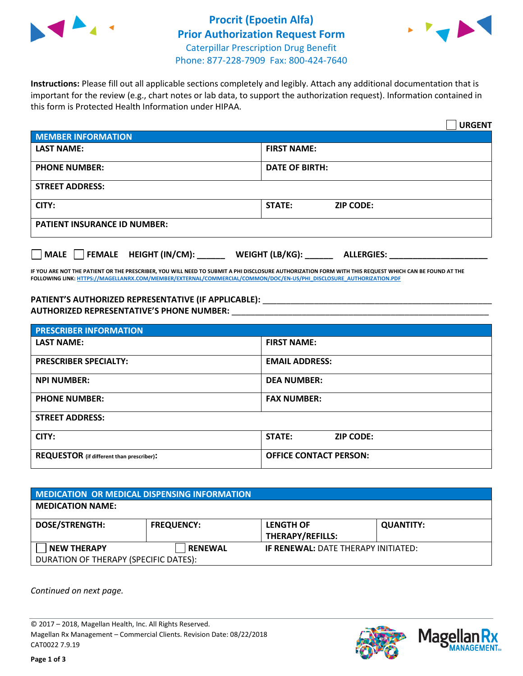



**Instructions:** Please fill out all applicable sections completely and legibly. Attach any additional documentation that is important for the review (e.g., chart notes or lab data, to support the authorization request). Information contained in this form is Protected Health Information under HIPAA.

|                                           | <b>URGENT</b>                        |  |  |
|-------------------------------------------|--------------------------------------|--|--|
| <b>MEMBER INFORMATION</b>                 |                                      |  |  |
| <b>LAST NAME:</b>                         | <b>FIRST NAME:</b>                   |  |  |
| <b>PHONE NUMBER:</b>                      | <b>DATE OF BIRTH:</b>                |  |  |
| <b>STREET ADDRESS:</b>                    |                                      |  |  |
| CITY:                                     | <b>STATE:</b><br><b>ZIP CODE:</b>    |  |  |
| <b>PATIENT INSURANCE ID NUMBER:</b>       |                                      |  |  |
| $\Box$ FEMALE HEIGHT (IN/CM): _<br>  MALE | WEIGHT (LB/KG):<br><b>ALLERGIES:</b> |  |  |

**IF YOU ARE NOT THE PATIENT OR THE PRESCRIBER, YOU WILL NEED TO SUBMIT A PHI DISCLOSURE AUTHORIZATION FORM WITH THIS REQUEST WHICH CAN BE FOUND AT THE FOLLOWING LINK[: HTTPS://MAGELLANRX.COM/MEMBER/EXTERNAL/COMMERCIAL/COMMON/DOC/EN-US/PHI\\_DISCLOSURE\\_AUTHORIZATION.PDF](https://magellanrx.com/member/external/commercial/common/doc/en-us/PHI_Disclosure_Authorization.pdf)**

PATIENT'S AUTHORIZED REPRESENTATIVE (IF APPLICABLE): \_\_\_\_\_\_\_\_\_\_\_\_\_\_\_\_\_\_\_\_\_\_\_\_\_\_\_ **AUTHORIZED REPRESENTATIVE'S PHONE NUMBER:** \_\_\_\_\_\_\_\_\_\_\_\_\_\_\_\_\_\_\_\_\_\_\_\_\_\_\_\_\_\_\_\_\_\_\_\_\_\_\_\_\_\_\_\_\_\_\_\_\_\_\_\_\_\_\_

| <b>PRESCRIBER INFORMATION</b>             |                               |
|-------------------------------------------|-------------------------------|
| <b>LAST NAME:</b>                         | <b>FIRST NAME:</b>            |
| <b>PRESCRIBER SPECIALTY:</b>              | <b>EMAIL ADDRESS:</b>         |
| <b>NPI NUMBER:</b>                        | <b>DEA NUMBER:</b>            |
| <b>PHONE NUMBER:</b>                      | <b>FAX NUMBER:</b>            |
| <b>STREET ADDRESS:</b>                    |                               |
| CITY:                                     | STATE:<br><b>ZIP CODE:</b>    |
| REQUESTOR (if different than prescriber): | <b>OFFICE CONTACT PERSON:</b> |

| <b>MEDICATION OR MEDICAL DISPENSING INFORMATION</b> |                   |                                            |                  |  |  |
|-----------------------------------------------------|-------------------|--------------------------------------------|------------------|--|--|
| <b>MEDICATION NAME:</b>                             |                   |                                            |                  |  |  |
| <b>DOSE/STRENGTH:</b>                               | <b>FREQUENCY:</b> | <b>LENGTH OF</b>                           | <b>QUANTITY:</b> |  |  |
|                                                     |                   | <b>THERAPY/REFILLS:</b>                    |                  |  |  |
| <b>NEW THERAPY</b>                                  | <b>RENEWAL</b>    | <b>IF RENEWAL: DATE THERAPY INITIATED:</b> |                  |  |  |
| DURATION OF THERAPY (SPECIFIC DATES):               |                   |                                            |                  |  |  |

*Continued on next page.*

© 2017 – 2018, Magellan Health, Inc. All Rights Reserved. Magellan Rx Management – Commercial Clients. Revision Date: 08/22/2018 CAT0022 7.9.19



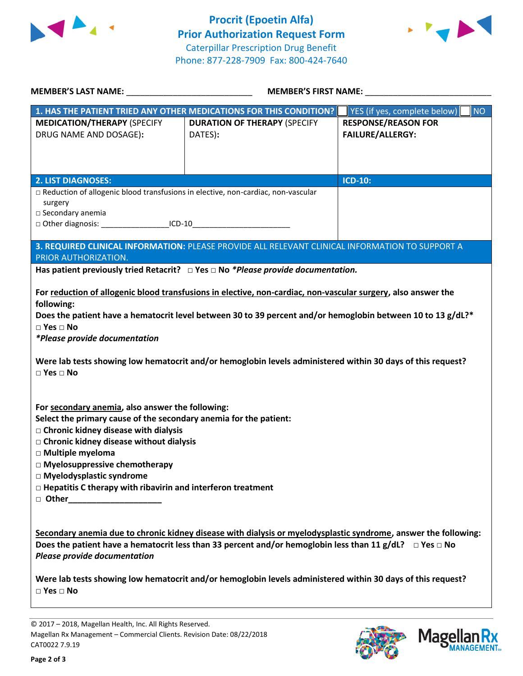



| <b>MEMBER'S LAST NAME:</b> NAME:                                                                                                                                                                                                                                                                                                                                                    | <b>MEMBER'S FIRST NAME:</b>                                                                                                                                                                                                          |                                           |  |
|-------------------------------------------------------------------------------------------------------------------------------------------------------------------------------------------------------------------------------------------------------------------------------------------------------------------------------------------------------------------------------------|--------------------------------------------------------------------------------------------------------------------------------------------------------------------------------------------------------------------------------------|-------------------------------------------|--|
|                                                                                                                                                                                                                                                                                                                                                                                     | 1. HAS THE PATIENT TRIED ANY OTHER MEDICATIONS FOR THIS CONDITION?                                                                                                                                                                   | <b>NO</b><br>YES (if yes, complete below) |  |
| <b>MEDICATION/THERAPY (SPECIFY</b>                                                                                                                                                                                                                                                                                                                                                  | <b>DURATION OF THERAPY (SPECIFY</b>                                                                                                                                                                                                  | <b>RESPONSE/REASON FOR</b>                |  |
| DRUG NAME AND DOSAGE):                                                                                                                                                                                                                                                                                                                                                              | DATES):                                                                                                                                                                                                                              | <b>FAILURE/ALLERGY:</b>                   |  |
|                                                                                                                                                                                                                                                                                                                                                                                     |                                                                                                                                                                                                                                      |                                           |  |
|                                                                                                                                                                                                                                                                                                                                                                                     |                                                                                                                                                                                                                                      |                                           |  |
| <b>2. LIST DIAGNOSES:</b><br>□ Reduction of allogenic blood transfusions in elective, non-cardiac, non-vascular                                                                                                                                                                                                                                                                     |                                                                                                                                                                                                                                      | <b>ICD-10:</b>                            |  |
| surgery                                                                                                                                                                                                                                                                                                                                                                             |                                                                                                                                                                                                                                      |                                           |  |
| $\square$ Secondary anemia                                                                                                                                                                                                                                                                                                                                                          |                                                                                                                                                                                                                                      |                                           |  |
| □ Other diagnosis: ______________________ICD-10________________________________                                                                                                                                                                                                                                                                                                     |                                                                                                                                                                                                                                      |                                           |  |
|                                                                                                                                                                                                                                                                                                                                                                                     | 3. REQUIRED CLINICAL INFORMATION: PLEASE PROVIDE ALL RELEVANT CLINICAL INFORMATION TO SUPPORT A                                                                                                                                      |                                           |  |
| PRIOR AUTHORIZATION.                                                                                                                                                                                                                                                                                                                                                                |                                                                                                                                                                                                                                      |                                           |  |
|                                                                                                                                                                                                                                                                                                                                                                                     | Has patient previously tried Retacrit? $\Box$ Yes $\Box$ No *Please provide documentation.                                                                                                                                           |                                           |  |
|                                                                                                                                                                                                                                                                                                                                                                                     | For reduction of allogenic blood transfusions in elective, non-cardiac, non-vascular surgery, also answer the                                                                                                                        |                                           |  |
| following:                                                                                                                                                                                                                                                                                                                                                                          |                                                                                                                                                                                                                                      |                                           |  |
|                                                                                                                                                                                                                                                                                                                                                                                     | Does the patient have a hematocrit level between 30 to 39 percent and/or hemoglobin between 10 to 13 g/dL?*                                                                                                                          |                                           |  |
| $\square$ Yes $\square$ No                                                                                                                                                                                                                                                                                                                                                          |                                                                                                                                                                                                                                      |                                           |  |
| <i>*Please provide documentation</i>                                                                                                                                                                                                                                                                                                                                                |                                                                                                                                                                                                                                      |                                           |  |
| $\square$ Yes $\square$ No                                                                                                                                                                                                                                                                                                                                                          | Were lab tests showing low hematocrit and/or hemoglobin levels administered within 30 days of this request?                                                                                                                          |                                           |  |
| For secondary anemia, also answer the following:<br>Select the primary cause of the secondary anemia for the patient:<br>$\Box$ Chronic kidney disease with dialysis<br>□ Chronic kidney disease without dialysis<br>□ Multiple myeloma<br>$\Box$ Myelosuppressive chemotherapy<br>□ Myelodysplastic syndrome<br>$\Box$ Hepatitis C therapy with ribavirin and interferon treatment |                                                                                                                                                                                                                                      |                                           |  |
| □ Other________________________                                                                                                                                                                                                                                                                                                                                                     |                                                                                                                                                                                                                                      |                                           |  |
| Please provide documentation                                                                                                                                                                                                                                                                                                                                                        | Secondary anemia due to chronic kidney disease with dialysis or myelodysplastic syndrome, answer the following:<br>Does the patient have a hematocrit less than 33 percent and/or hemoglobin less than 11 g/dL? $\Box$ Yes $\Box$ No |                                           |  |
| $\Box$ Yes $\Box$ No                                                                                                                                                                                                                                                                                                                                                                | Were lab tests showing low hematocrit and/or hemoglobin levels administered within 30 days of this request?                                                                                                                          |                                           |  |
|                                                                                                                                                                                                                                                                                                                                                                                     |                                                                                                                                                                                                                                      |                                           |  |

© 2017 – 2018, Magellan Health, Inc. All Rights Reserved. Magellan Rx Management – Commercial Clients. Revision Date: 08/22/2018 CAT0022 7.9.19